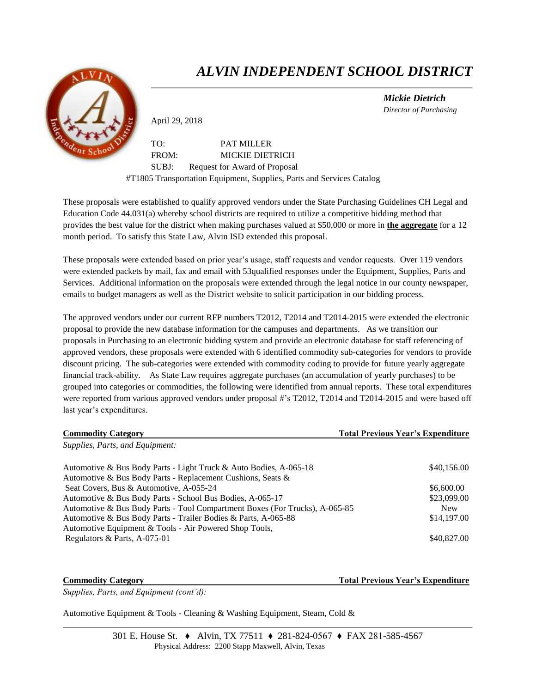

## *ALVIN INDEPENDENT SCHOOL DISTRICT*

 *Mickie Dietrich Director of Purchasing*

April 29, 2018

TO: PAT MILLER FROM: MICKIE DIETRICH SUBJ: Request for Award of Proposal #T1805 Transportation Equipment, Supplies, Parts and Services Catalog

These proposals were established to qualify approved vendors under the State Purchasing Guidelines CH Legal and Education Code 44.031(a) whereby school districts are required to utilize a competitive bidding method that provides the best value for the district when making purchases valued at \$50,000 or more in **the aggregate** for a 12 month period. To satisfy this State Law, Alvin ISD extended this proposal.

These proposals were extended based on prior year's usage, staff requests and vendor requests. Over 119 vendors were extended packets by mail, fax and email with 53qualified responses under the Equipment, Supplies, Parts and Services. Additional information on the proposals were extended through the legal notice in our county newspaper, emails to budget managers as well as the District website to solicit participation in our bidding process.

The approved vendors under our current RFP numbers T2012, T2014 and T2014-2015 were extended the electronic proposal to provide the new database information for the campuses and departments. As we transition our proposals in Purchasing to an electronic bidding system and provide an electronic database for staff referencing of approved vendors, these proposals were extended with 6 identified commodity sub-categories for vendors to provide discount pricing. The sub-categories were extended with commodity coding to provide for future yearly aggregate financial track-ability. As State Law requires aggregate purchases (an accumulation of yearly purchases) to be grouped into categories or commodities, the following were identified from annual reports. These total expenditures were reported from various approved vendors under proposal #'s T2012, T2014 and T2014-2015 and were based off last year's expenditures.

| <b>Commodity Category</b>                                                   | <b>Total Previous Year's Expenditure</b> |
|-----------------------------------------------------------------------------|------------------------------------------|
| Supplies, Parts, and Equipment:                                             |                                          |
| Automotive & Bus Body Parts - Light Truck & Auto Bodies, A-065-18           | \$40,156.00                              |
| Automotive & Bus Body Parts - Replacement Cushions, Seats &                 |                                          |
| Seat Covers, Bus & Automotive, A-055-24                                     | \$6,600.00                               |
| Automotive & Bus Body Parts - School Bus Bodies, A-065-17                   | \$23,099.00                              |
| Automotive & Bus Body Parts - Tool Compartment Boxes (For Trucks), A-065-85 | <b>New</b>                               |
| Automotive & Bus Body Parts - Trailer Bodies & Parts, A-065-88              | \$14,197.00                              |
| Automotive Equipment & Tools - Air Powered Shop Tools,                      |                                          |
| Regulators & Parts, A-075-01                                                | \$40,827.00                              |

**Commodity Category Total Previous Year's Expenditure**

*Supplies, Parts, and Equipment (cont'd):*

Automotive Equipment & Tools - Cleaning & Washing Equipment, Steam, Cold &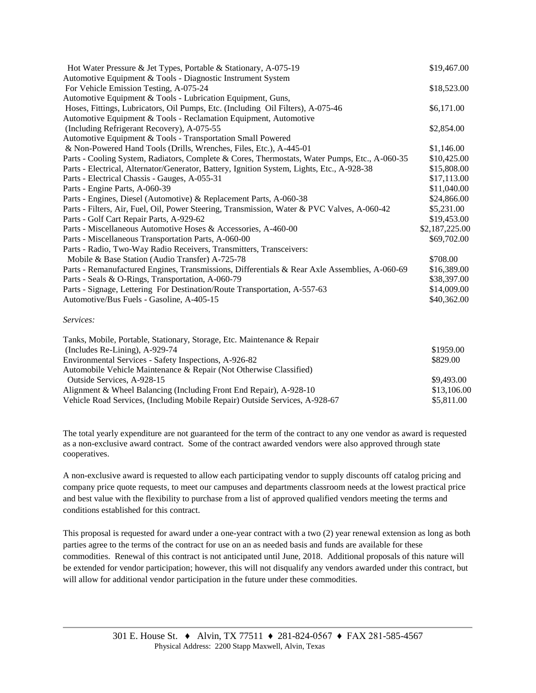| Hot Water Pressure & Jet Types, Portable & Stationary, A-075-19                               |                |
|-----------------------------------------------------------------------------------------------|----------------|
| Automotive Equipment & Tools - Diagnostic Instrument System                                   |                |
| For Vehicle Emission Testing, A-075-24                                                        | \$18,523.00    |
| Automotive Equipment & Tools - Lubrication Equipment, Guns,                                   |                |
| Hoses, Fittings, Lubricators, Oil Pumps, Etc. (Including Oil Filters), A-075-46               | \$6,171.00     |
| Automotive Equipment & Tools - Reclamation Equipment, Automotive                              |                |
| (Including Refrigerant Recovery), A-075-55                                                    | \$2,854.00     |
| Automotive Equipment & Tools - Transportation Small Powered                                   |                |
| & Non-Powered Hand Tools (Drills, Wrenches, Files, Etc.), A-445-01                            | \$1,146.00     |
| Parts - Cooling System, Radiators, Complete & Cores, Thermostats, Water Pumps, Etc., A-060-35 | \$10,425.00    |
| Parts - Electrical, Alternator/Generator, Battery, Ignition System, Lights, Etc., A-928-38    | \$15,808.00    |
| Parts - Electrical Chassis - Gauges, A-055-31                                                 | \$17,113.00    |
| Parts - Engine Parts, A-060-39                                                                | \$11,040.00    |
| Parts - Engines, Diesel (Automotive) & Replacement Parts, A-060-38                            | \$24,866.00    |
| Parts - Filters, Air, Fuel, Oil, Power Steering, Transmission, Water & PVC Valves, A-060-42   | \$5,231.00     |
| Parts - Golf Cart Repair Parts, A-929-62                                                      | \$19,453.00    |
| Parts - Miscellaneous Automotive Hoses & Accessories, A-460-00                                | \$2,187,225.00 |
| Parts - Miscellaneous Transportation Parts, A-060-00                                          | \$69,702.00    |
| Parts - Radio, Two-Way Radio Receivers, Transmitters, Transceivers:                           |                |
| Mobile & Base Station (Audio Transfer) A-725-78                                               | \$708.00       |
| Parts - Remanufactured Engines, Transmissions, Differentials & Rear Axle Assemblies, A-060-69 | \$16,389.00    |
| Parts - Seals & O-Rings, Transportation, A-060-79                                             | \$38,397.00    |
| Parts - Signage, Lettering For Destination/Route Transportation, A-557-63                     | \$14,009.00    |
| Automotive/Bus Fuels - Gasoline, A-405-15                                                     | \$40,362.00    |
| Services:                                                                                     |                |
| Tanks, Mobile, Portable, Stationary, Storage, Etc. Maintenance & Repair                       |                |
| $(L_{\text{ref}})$ declare D = Lemma $\lambda$ 0.000 74                                       | 0.105000       |

| \$1959.00   |
|-------------|
| \$829.00    |
|             |
| \$9.493.00  |
| \$13,106.00 |
| \$5,811.00  |
|             |

The total yearly expenditure are not guaranteed for the term of the contract to any one vendor as award is requested as a non-exclusive award contract. Some of the contract awarded vendors were also approved through state cooperatives.

A non-exclusive award is requested to allow each participating vendor to supply discounts off catalog pricing and company price quote requests, to meet our campuses and departments classroom needs at the lowest practical price and best value with the flexibility to purchase from a list of approved qualified vendors meeting the terms and conditions established for this contract.

This proposal is requested for award under a one-year contract with a two (2) year renewal extension as long as both parties agree to the terms of the contract for use on an as needed basis and funds are available for these commodities. Renewal of this contract is not anticipated until June, 2018. Additional proposals of this nature will be extended for vendor participation; however, this will not disqualify any vendors awarded under this contract, but will allow for additional vendor participation in the future under these commodities.